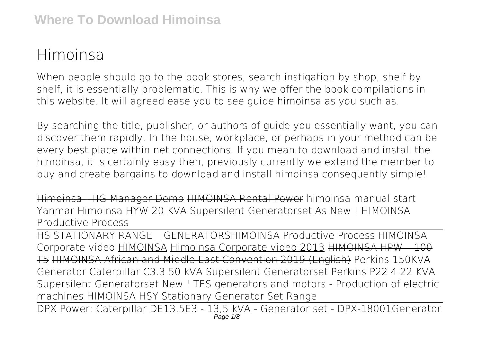## **Himoinsa**

When people should go to the book stores, search instigation by shop, shelf by shelf, it is essentially problematic. This is why we offer the book compilations in this website. It will agreed ease you to see guide **himoinsa** as you such as.

By searching the title, publisher, or authors of guide you essentially want, you can discover them rapidly. In the house, workplace, or perhaps in your method can be every best place within net connections. If you mean to download and install the himoinsa, it is certainly easy then, previously currently we extend the member to buy and create bargains to download and install himoinsa consequently simple!

Himoinsa - HG Manager Demo HIMOINSA Rental Power himoinsa manual start *Yanmar Himoinsa HYW 20 KVA Supersilent Generatorset As New ! HIMOINSA Productive Process*

HS STATIONARY RANGE \_ GENERATORS*HIMOINSA Productive Process HIMOINSA Corporate video* HIMOINSA Himoinsa Corporate video 2013 HIMOINSA HPW – 100 T5 HIMOINSA African and Middle East Convention 2019 (English) Perkins 150KVA Generator Caterpillar C3.3 50 kVA Supersilent Generatorset *Perkins P22 4 22 KVA Supersilent Generatorset New ! TES generators and motors - Production of electric machines HIMOINSA HSY Stationary Generator Set Range*

DPX Power: Caterpillar DE13.5E3 - 13,5 kVA - Generator set - DPX-18001Generator Page  $1/8$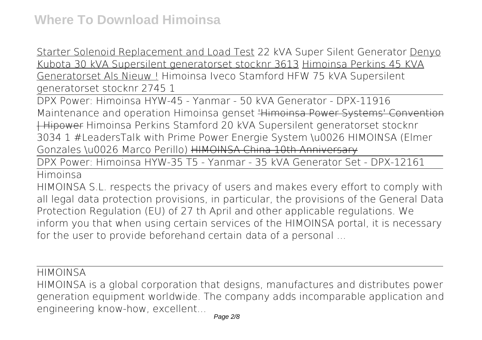Starter Solenoid Replacement and Load Test *22 kVA Super Silent Generator* Denyo Kubota 30 kVA Supersilent generatorset stocknr 3613 Himoinsa Perkins 45 KVA Generatorset Als Nieuw ! *Himoinsa Iveco Stamford HFW 75 kVA Supersilent generatorset stocknr 2745 1*

DPX Power: Himoinsa HYW-45 - Yanmar - 50 kVA Generator - DPX-11916 **Maintenance and operation Himoinsa genset** 'Himoinsa Power Systems' Convention | Hipower *Himoinsa Perkins Stamford 20 kVA Supersilent generatorset stocknr 3034 1 #LeadersTalk with Prime Power Energie System \u0026 HIMOINSA (Elmer Gonzales \u0026 Marco Perillo)* HIMOINSA China 10th Anniversary

DPX Power: Himoinsa HYW-35 T5 - Yanmar - 35 kVA Generator Set - DPX-12161

Himoinsa

HIMOINSA S.L. respects the privacy of users and makes every effort to comply with all legal data protection provisions, in particular, the provisions of the General Data Protection Regulation (EU) of 27 th April and other applicable regulations. We inform you that when using certain services of the HIMOINSA portal, it is necessary for the user to provide beforehand certain data of a personal ...

HIMOINSA

HIMOINSA is a global corporation that designs, manufactures and distributes power generation equipment worldwide. The company adds incomparable application and engineering know-how, excellent...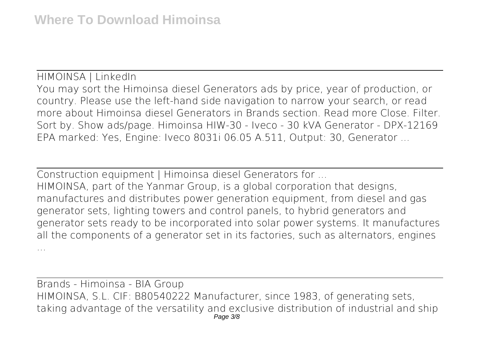HIMOINSA | LinkedIn You may sort the Himoinsa diesel Generators ads by price, year of production, or country. Please use the left-hand side navigation to narrow your search, or read more about Himoinsa diesel Generators in Brands section. Read more Close. Filter. Sort by. Show ads/page. Himoinsa HIW-30 - Iveco - 30 kVA Generator - DPX-12169 EPA marked: Yes, Engine: Iveco 8031i 06.05 A.511, Output: 30, Generator ...

Construction equipment | Himoinsa diesel Generators for ... HIMOINSA, part of the Yanmar Group, is a global corporation that designs, manufactures and distributes power generation equipment, from diesel and gas generator sets, lighting towers and control panels, to hybrid generators and generator sets ready to be incorporated into solar power systems. It manufactures all the components of a generator set in its factories, such as alternators, engines ...

Brands - Himoinsa - BIA Group HIMOINSA, S.L. CIF: B80540222 Manufacturer, since 1983, of generating sets, taking advantage of the versatility and exclusive distribution of industrial and ship Page 3/8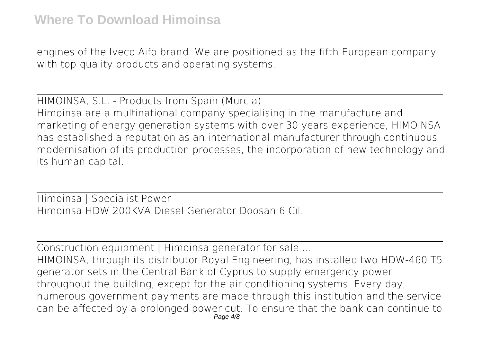engines of the Iveco Aifo brand. We are positioned as the fifth European company with top quality products and operating systems.

HIMOINSA, S.L. - Products from Spain (Murcia) Himoinsa are a multinational company specialising in the manufacture and marketing of energy generation systems with over 30 years experience, HIMOINSA has established a reputation as an international manufacturer through continuous modernisation of its production processes, the incorporation of new technology and its human capital.

Himoinsa | Specialist Power Himoinsa HDW 200KVA Diesel Generator Doosan 6 Cil.

Construction equipment | Himoinsa generator for sale ... HIMOINSA, through its distributor Royal Engineering, has installed two HDW-460 T5 generator sets in the Central Bank of Cyprus to supply emergency power throughout the building, except for the air conditioning systems. Every day, numerous government payments are made through this institution and the service can be affected by a prolonged power cut. To ensure that the bank can continue to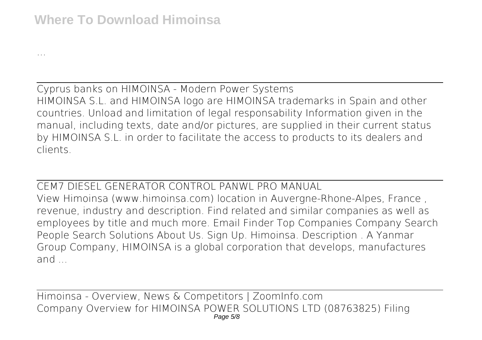...

Cyprus banks on HIMOINSA - Modern Power Systems HIMOINSA S.L. and HIMOINSA logo are HIMOINSA trademarks in Spain and other countries. Unload and limitation of legal responsability Information given in the manual, including texts, date and/or pictures, are supplied in their current status by HIMOINSA S.L. in order to facilitate the access to products to its dealers and clients.

CEM7 DIESEL GENERATOR CONTROL PANWL PRO MANUAL View Himoinsa (www.himoinsa.com) location in Auvergne-Rhone-Alpes, France , revenue, industry and description. Find related and similar companies as well as employees by title and much more. Email Finder Top Companies Company Search People Search Solutions About Us. Sign Up. Himoinsa. Description . A Yanmar Group Company, HIMOINSA is a global corporation that develops, manufactures and ...

Himoinsa - Overview, News & Competitors | ZoomInfo.com Company Overview for HIMOINSA POWER SOLUTIONS LTD (08763825) Filing Page 5/8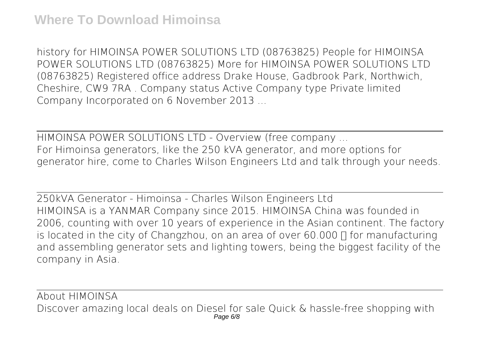history for HIMOINSA POWER SOLUTIONS LTD (08763825) People for HIMOINSA POWER SOLUTIONS LTD (08763825) More for HIMOINSA POWER SOLUTIONS LTD (08763825) Registered office address Drake House, Gadbrook Park, Northwich, Cheshire, CW9 7RA . Company status Active Company type Private limited Company Incorporated on 6 November 2013 ...

HIMOINSA POWER SOLUTIONS LTD - Overview (free company ... For Himoinsa generators, like the 250 kVA generator, and more options for generator hire, come to Charles Wilson Engineers Ltd and talk through your needs.

250kVA Generator - Himoinsa - Charles Wilson Engineers Ltd HIMOINSA is a YANMAR Company since 2015. HIMOINSA China was founded in 2006, counting with over 10 years of experience in the Asian continent. The factory is located in the city of Changzhou, on an area of over 60.000  $\Box$  for manufacturing and assembling generator sets and lighting towers, being the biggest facility of the company in Asia.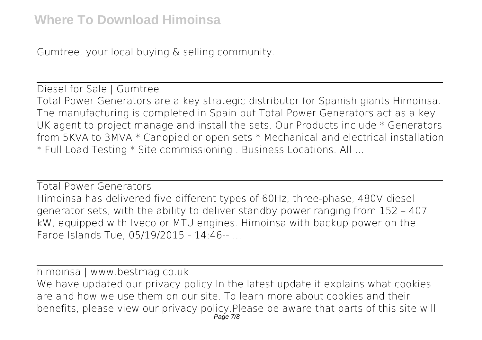Gumtree, your local buying & selling community.

Diesel for Sale | Gumtree Total Power Generators are a key strategic distributor for Spanish giants Himoinsa. The manufacturing is completed in Spain but Total Power Generators act as a key UK agent to project manage and install the sets. Our Products include \* Generators from 5KVA to 3MVA \* Canopied or open sets \* Mechanical and electrical installation \* Full Load Testing \* Site commissioning . Business Locations. All ...

Total Power Generators Himoinsa has delivered five different types of 60Hz, three-phase, 480V diesel generator sets, with the ability to deliver standby power ranging from 152 – 407 kW, equipped with Iveco or MTU engines. Himoinsa with backup power on the Faroe Islands Tue, 05/19/2015 - 14:46-- ...

himoinsa | www.bestmag.co.uk We have updated our privacy policy. In the latest update it explains what cookies are and how we use them on our site. To learn more about cookies and their benefits, please view our privacy policy.Please be aware that parts of this site will Page 7/8